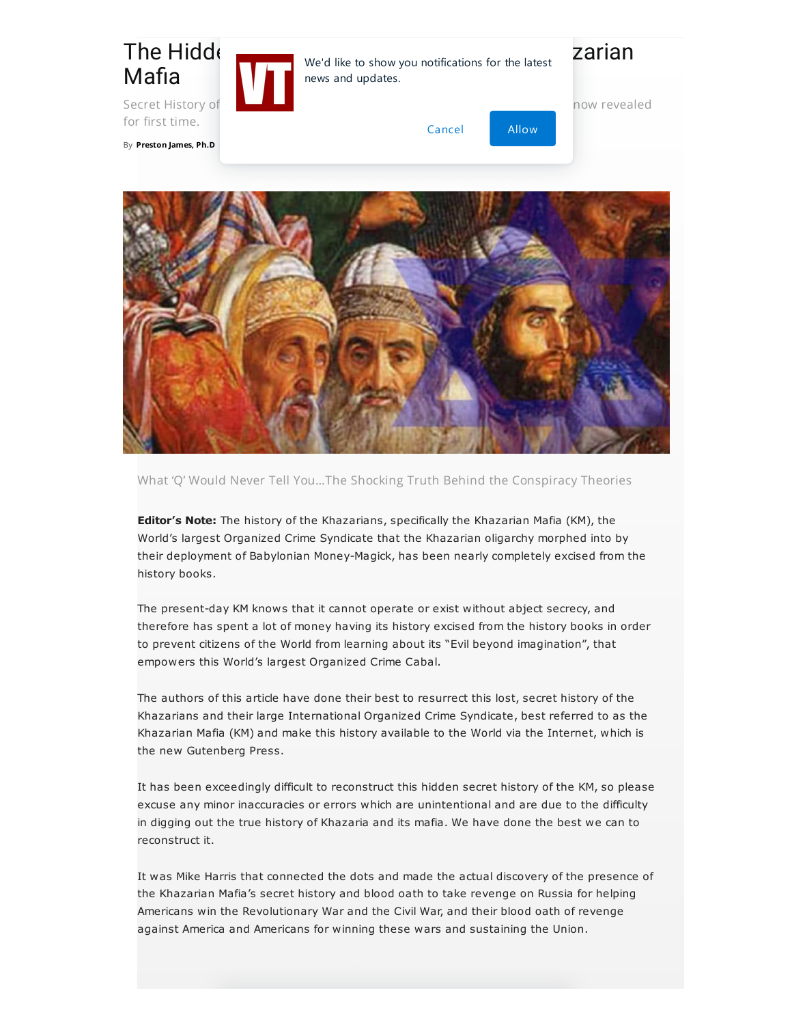| The Hidd<br>Mafia                    | We'd like to show you notifications for the latest<br>news and updates. |       | zarian       |
|--------------------------------------|-------------------------------------------------------------------------|-------|--------------|
| Secret History of<br>for first time. | Cancel                                                                  | Allow | now revealed |
| By Preston James, Ph.D               |                                                                         |       |              |



What 'Q' Would Never Tell You…The Shocking Truth Behind the Conspiracy Theories

**Editor's Note:** The history of the Khazarians, specifically the Khazarian Mafia (KM), the World's largest Organized Crime Syndicate that the Khazarian oligarchy morphed into by their deployment of Babylonian Money-Magick, has been nearly completely excised from the history books.

The present-day KM knows that it cannot operate or exist without abject secrecy, and therefore has spent a lot of money having its history excised from the history books in order to prevent citizens of the World from learning about its "Evil beyond imagination", that empowers this World's largest Organized Crime Cabal.

The authors of this article have done their best to resurrect this lost, secret history of the Khazarians and their large International Organized Crime Syndicate, best referred to as the Khazarian Mafia (KM) and make this history available to the World via the Internet, which is the new Gutenberg Press.

It has been exceedingly difficult to reconstruct this hidden secret history of the KM, so please excuse any minor inaccuracies or errors which are unintentional and are due to the difficulty in digging out the true history of Khazaria and its mafia. We have done the best we can to reconstruct it.

It was Mike Harris that connected the dots and made the actual discovery of the presence of the Khazarian Mafia's secret history and blood oath to take revenge on Russia for helping Americans win the Revolutionary War and the Civil War, and their blood oath of revenge against America and Americans for winning these wars and sustaining the Union.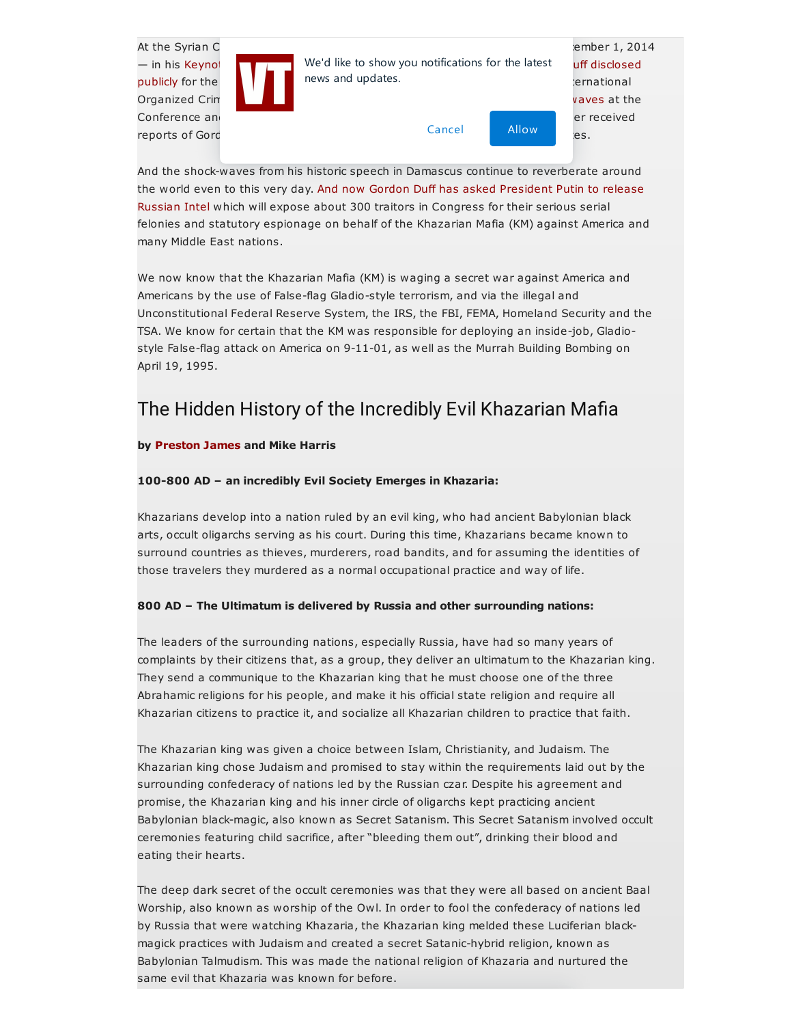| At the Syrian C<br>- in his Keynot | We'd like to show you notifications for the latest |  |             | ember 1, 2014<br>uff disclosed |
|------------------------------------|----------------------------------------------------|--|-------------|--------------------------------|
| publicly for the                   | news and updates.                                  |  | ernational: |                                |
| Organized Crin                     |                                                    |  |             | vaves at the                   |
| Conference and                     |                                                    |  |             | er received                    |
| reports of Gord                    | Cancel                                             |  | Allow       | es.                            |
|                                    |                                                    |  |             |                                |

And the shock-waves from his historic speech in Damascus continue to reverberate around the world even to this very day. And now Gordon Duff has asked [President](https://www.veteranstodayarchives.com/2015/03/10/we-demand-president-putin-release-documents-vital-to-world-peace/) Putin to release Russian Intel which will expose about 300 traitors in Congress for their serious serial felonies and statutory espionage on behalf of the Khazarian Mafia (KM) against America and many Middle East nations.

We now know that the Khazarian Mafia (KM) is waging a secret war against America and Americans by the use of False-flag Gladio-style terrorism, and via the illegal and Unconstitutional Federal Reserve System, the IRS, the FBI, FEMA, Homeland Security and the TSA. We know for certain that the KM was responsible for deploying an inside-job, Gladiostyle False-flag attack on America on 9-11-01, as well as the Murrah Building Bombing on April 19, 1995.

# The Hidden History of the Incredibly Evil Khazarian Mafia

#### **by [Preston](https://www.veteranstoday.com/author/jim/) James and Mike Harris**

#### **100-800 AD – an incredibly Evil Society Emerges in Khazaria:**

Khazarians develop into a nation ruled by an evil king, who had ancient Babylonian black arts, occult oligarchs serving as his court. During this time, Khazarians became known to surround countries as thieves, murderers, road bandits, and for assuming the identities of those travelers they murdered as a normal occupational practice and way of life.

#### **800 AD – The Ultimatum is delivered by Russia and other surrounding nations:**

The leaders of the surrounding nations, especially Russia, have had so many years of complaints by their citizens that, as a group, they deliver an ultimatum to the Khazarian king. They send a communique to the Khazarian king that he must choose one of the three Abrahamic religions for his people, and make it his official state religion and require all Khazarian citizens to practice it, and socialize all Khazarian children to practice that faith.

The Khazarian king was given a choice between Islam, Christianity, and Judaism. The Khazarian king chose Judaism and promised to stay within the requirements laid out by the surrounding confederacy of nations led by the Russian czar. Despite his agreement and promise, the Khazarian king and his inner circle of oligarchs kept practicing ancient Babylonian black-magic, also known as Secret Satanism. This Secret Satanism involved occult ceremonies featuring child sacrifice, after "bleeding them out", drinking their blood and eating their hearts.

The deep dark secret of the occult ceremonies was that they were all based on ancient Baal Worship, also known as worship of the Owl. In order to fool the confederacy of nations led by Russia that were watching Khazaria, the Khazarian king melded these Luciferian blackmagick practices with Judaism and created a secret Satanic-hybrid religion, known as Babylonian Talmudism. This was made the national religion of Khazaria and nurtured the same evil that Khazaria was known for before.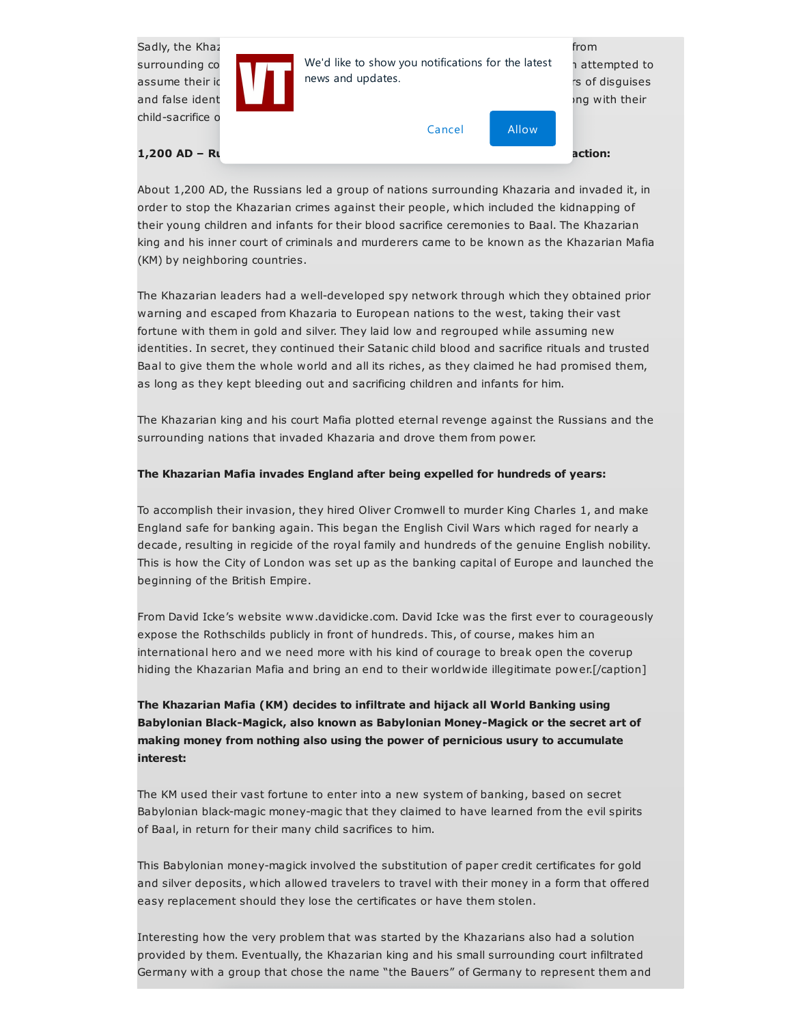| Sadly, the Khaz   |                                                    |       | from            |
|-------------------|----------------------------------------------------|-------|-----------------|
| surrounding co    | We'd like to show you notifications for the latest |       | n attempted to  |
| assume their ic   | news and updates.                                  |       | rs of disguises |
| and false ident   |                                                    |       | ing with their  |
| child-sacrifice o |                                                    |       |                 |
|                   | Cancel                                             | Allow |                 |
| $1,200 AD - R$    |                                                    |       | action:         |

About 1,200 AD, the Russians led a group of nations surrounding Khazaria and invaded it, in order to stop the Khazarian crimes against their people, which included the kidnapping of their young children and infants for their blood sacrifice ceremonies to Baal. The Khazarian king and his inner court of criminals and murderers came to be known as the Khazarian Mafia (KM) by neighboring countries.

The Khazarian leaders had a well-developed spy network through which they obtained prior warning and escaped from Khazaria to European nations to the west, taking their vast fortune with them in gold and silver. They laid low and regrouped while assuming new identities. In secret, they continued their Satanic child blood and sacrifice rituals and trusted Baal to give them the whole world and all its riches, as they claimed he had promised them, as long as they kept bleeding out and sacrificing children and infants for him.

The Khazarian king and his court Mafia plotted eternal revenge against the Russians and the surrounding nations that invaded Khazaria and drove them from power.

## **The Khazarian Mafia invades England after being expelled for hundreds of years:**

To accomplish their invasion, they hired Oliver Cromwell to murder King Charles 1, and make England safe for banking again. This began the English Civil Wars which raged for nearly a decade, resulting in regicide of the royal family and hundreds of the genuine English nobility. This is how the City of London was set up as the banking capital of Europe and launched the beginning of the British Empire.

From David Icke's website www.davidicke.com. David Icke was the first ever to courageously expose the Rothschilds publicly in front of hundreds. This, of course, makes him an international hero and we need more with his kind of courage to break open the coverup hiding the Khazarian Mafia and bring an end to their worldwide illegitimate power.[/caption]

# **The Khazarian Mafia (KM) decides to infiltrate and hijack all World Banking using Babylonian Black-Magick, also known as Babylonian Money-Magick or the secret art of making money from nothing also using the power of pernicious usury to accumulate interest:**

The KM used their vast fortune to enter into a new system of banking, based on secret Babylonian black-magic money-magic that they claimed to have learned from the evil spirits of Baal, in return for their many child sacrifices to him.

This Babylonian money-magick involved the substitution of paper credit certificates for gold and silver deposits, which allowed travelers to travel with their money in a form that offered easy replacement should they lose the certificates or have them stolen.

Interesting how the very problem that was started by the Khazarians also had a solution provided by them. Eventually, the Khazarian king and his small surrounding court infiltrated Germany with a group that chose the name "the Bauers" of Germany to represent them and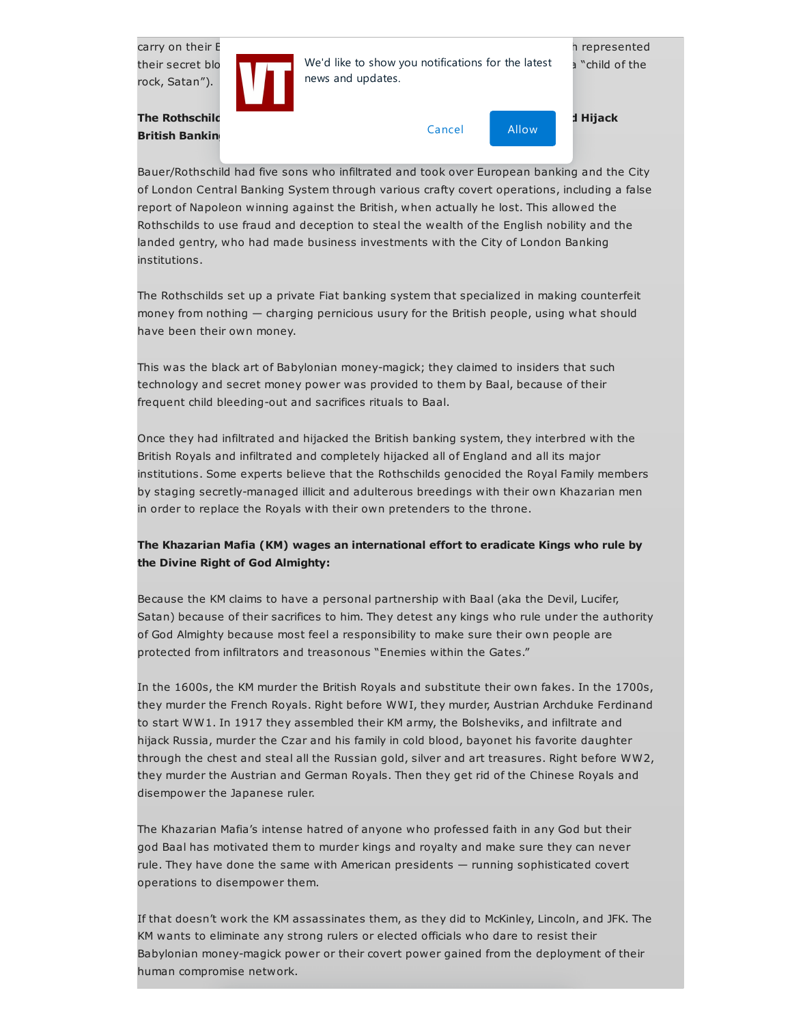

Bauer/Rothschild had five sons who infiltrated and took over European banking and the City of London Central Banking System through various crafty covert operations, including a false report of Napoleon winning against the British, when actually he lost. This allowed the Rothschilds to use fraud and deception to steal the wealth of the English nobility and the landed gentry, who had made business investments with the City of London Banking institutions.

The Rothschilds set up a private Fiat banking system that specialized in making counterfeit money from nothing — charging pernicious usury for the British people, using what should have been their own money.

This was the black art of Babylonian money-magick; they claimed to insiders that such technology and secret money power was provided to them by Baal, because of their frequent child bleeding-out and sacrifices rituals to Baal.

Once they had infiltrated and hijacked the British banking system, they interbred with the British Royals and infiltrated and completely hijacked all of England and all its major institutions. Some experts believe that the Rothschilds genocided the Royal Family members by staging secretly-managed illicit and adulterous breedings with their own Khazarian men in order to replace the Royals with their own pretenders to the throne.

## **The Khazarian Mafia (KM) wages an international effort to eradicate Kings who rule by the Divine Right of God Almighty:**

Because the KM claims to have a personal partnership with Baal (aka the Devil, Lucifer, Satan) because of their sacrifices to him. They detest any kings who rule under the authority of God Almighty because most feel a responsibility to make sure their own people are protected from infiltrators and treasonous "Enemies within the Gates."

In the 1600s, the KM murder the British Royals and substitute their own fakes. In the 1700s, they murder the French Royals. Right before WWI, they murder, Austrian Archduke Ferdinand to start WW1. In 1917 they assembled their KM army, the Bolsheviks, and infiltrate and hijack Russia, murder the Czar and his family in cold blood, bayonet his favorite daughter through the chest and steal all the Russian gold, silver and art treasures. Right before WW2, they murder the Austrian and German Royals. Then they get rid of the Chinese Royals and disempower the Japanese ruler.

The Khazarian Mafia's intense hatred of anyone who professed faith in any God but their god Baal has motivated them to murder kings and royalty and make sure they can never rule. They have done the same with American presidents — running sophisticated covert operations to disempower them.

If that doesn't work the KM assassinates them, as they did to McKinley, Lincoln, and JFK. The KM wants to eliminate any strong rulers or elected officials who dare to resist their Babylonian money-magick power or their covert power gained from the deployment of their human compromise network.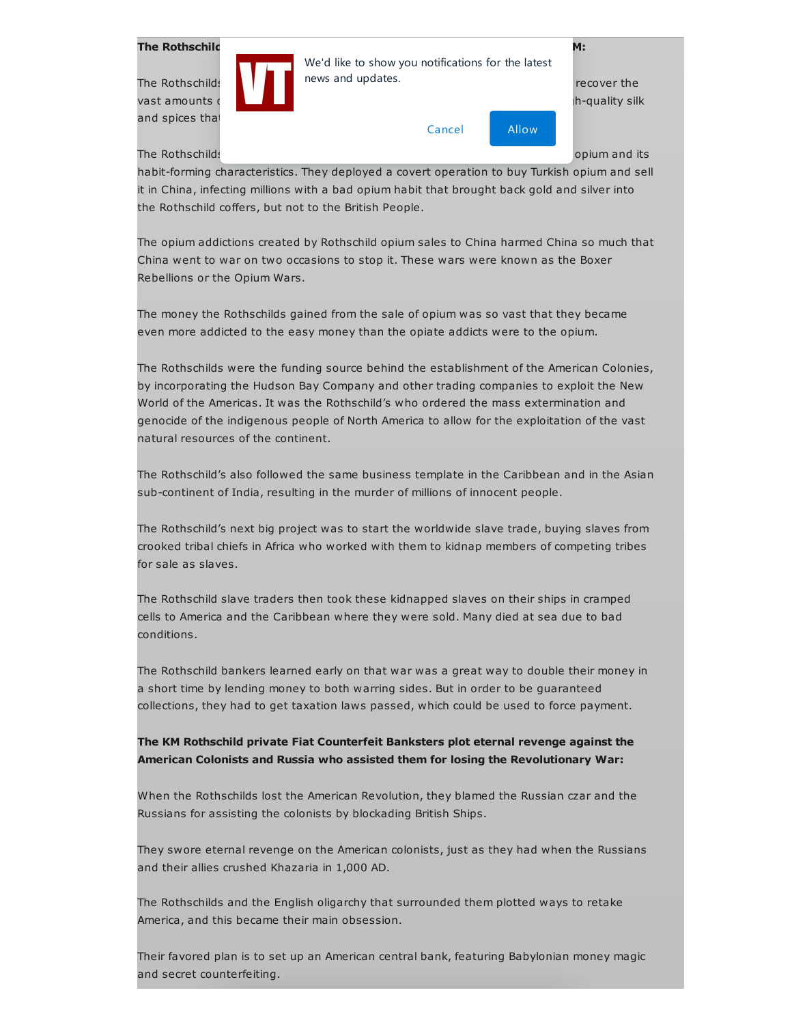| <b>The Rothschild</b>             |                                                                         |       | м:                            |
|-----------------------------------|-------------------------------------------------------------------------|-------|-------------------------------|
| The Rothschilds<br>vast amounts o | We'd like to show you notifications for the latest<br>news and updates. |       | recover the<br>h-quality silk |
| and spices that                   | Cancel                                                                  | Allow |                               |
| The Rothschilds                   |                                                                         |       | opium and its                 |

habit-forming characteristics. They deployed a covert operation to buy Turkish opium and sell it in China, infecting millions with a bad opium habit that brought back gold and silver into the Rothschild coffers, but not to the British People.

The opium addictions created by Rothschild opium sales to China harmed China so much that China went to war on two occasions to stop it. These wars were known as the Boxer Rebellions or the Opium Wars.

The money the Rothschilds gained from the sale of opium was so vast that they became even more addicted to the easy money than the opiate addicts were to the opium.

The Rothschilds were the funding source behind the establishment of the American Colonies, by incorporating the Hudson Bay Company and other trading companies to exploit the New World of the Americas. It was the Rothschild's who ordered the mass extermination and genocide of the indigenous people of North America to allow for the exploitation of the vast natural resources of the continent.

The Rothschild's also followed the same business template in the Caribbean and in the Asian sub-continent of India, resulting in the murder of millions of innocent people.

The Rothschild's next big project was to start the worldwide slave trade, buying slaves from crooked tribal chiefs in Africa who worked with them to kidnap members of competing tribes for sale as slaves.

The Rothschild slave traders then took these kidnapped slaves on their ships in cramped cells to America and the Caribbean where they were sold. Many died at sea due to bad conditions.

The Rothschild bankers learned early on that war was a great way to double their money in a short time by lending money to both warring sides. But in order to be guaranteed collections, they had to get taxation laws passed, which could be used to force payment.

## **The KM Rothschild private Fiat Counterfeit Banksters plot eternal revenge against the American Colonists and Russia who assisted them for losing the Revolutionary War:**

When the Rothschilds lost the American Revolution, they blamed the Russian czar and the Russians for assisting the colonists by blockading British Ships.

They swore eternal revenge on the American colonists, just as they had when the Russians and their allies crushed Khazaria in 1,000 AD.

The Rothschilds and the English oligarchy that surrounded them plotted ways to retake America, and this became their main obsession.

Their favored plan is to set up an American central bank, featuring Babylonian money magic and secret counterfeiting.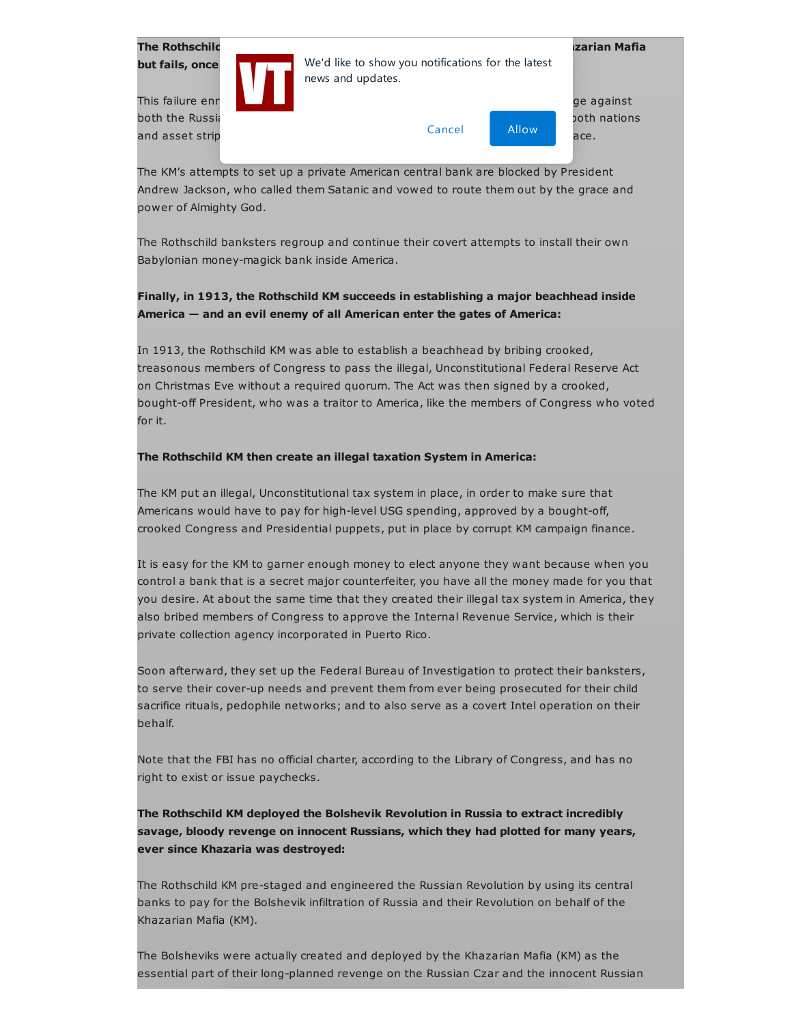

The KM's attempts to set up a private American central bank are blocked by President Andrew Jackson, who called them Satanic and vowed to route them out by the grace and power of Almighty God.

The Rothschild banksters regroup and continue their covert attempts to install their own Babylonian money-magick bank inside America.

## **Finally, in 1913, the Rothschild KM succeeds in establishing a major beachhead inside America — and an evil enemy of all American enter the gates of America:**

In 1913, the Rothschild KM was able to establish a beachhead by bribing crooked, treasonous members of Congress to pass the illegal, Unconstitutional Federal Reserve Act on Christmas Eve without a required quorum. The Act was then signed by a crooked, bought-off President, who was a traitor to America, like the members of Congress who voted for it.

## **The Rothschild KM then create an illegal taxation System in America:**

The KM put an illegal, Unconstitutional tax system in place, in order to make sure that Americans would have to pay for high-level USG spending, approved by a bought-off, crooked Congress and Presidential puppets, put in place by corrupt KM campaign finance.

It is easy for the KM to garner enough money to elect anyone they want because when you control a bank that is a secret major counterfeiter, you have all the money made for you that you desire. At about the same time that they created their illegal tax system in America, they also bribed members of Congress to approve the Internal Revenue Service, which is their private collection agency incorporated in Puerto Rico.

Soon afterward, they set up the Federal Bureau of Investigation to protect their banksters, to serve their cover-up needs and prevent them from ever being prosecuted for their child sacrifice rituals, pedophile networks; and to also serve as a covert Intel operation on their behalf.

Note that the FBI has no official charter, according to the Library of Congress, and has no right to exist or issue paychecks.

**The Rothschild KM deployed the Bolshevik Revolution in Russia to extract incredibly savage, bloody revenge on innocent Russians, which they had plotted for many years, ever since Khazaria was destroyed:**

The Rothschild KM pre-staged and engineered the Russian Revolution by using its central banks to pay for the Bolshevik infiltration of Russia and their Revolution on behalf of the Khazarian Mafia (KM).

The Bolsheviks were actually created and deployed by the Khazarian Mafia (KM) as the essential part of their long-planned revenge on the Russian Czar and the innocent Russian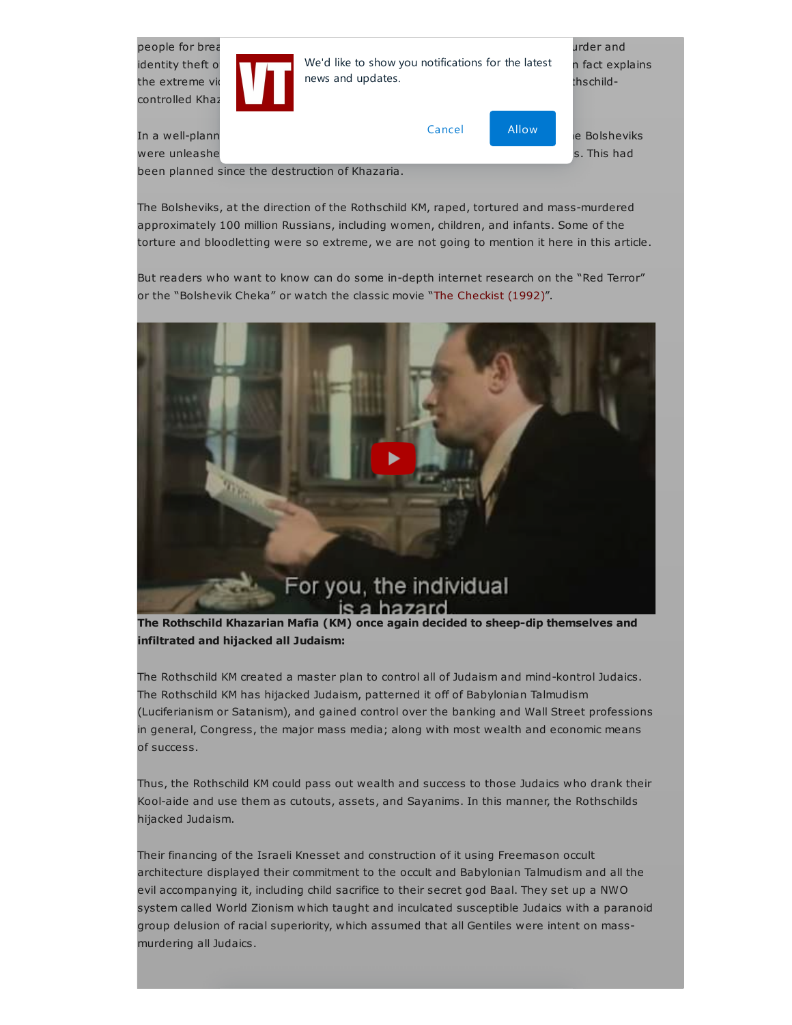

been planned since the destruction of Khazaria.

The Bolsheviks, at the direction of the Rothschild KM, raped, tortured and mass-murdered approximately 100 million Russians, including women, children, and infants. Some of the torture and bloodletting were so extreme, we are not going to mention it here in this article.

But readers who want to know can do some in-depth internet research on the "Red Terror" or the "Bolshevik Cheka" or watch the classic movie "The [Checkist](https://www.youtube.com/watch?v=X_RSDqBn0bA) (1992)".



**The Rothschild Khazarian Mafia (KM) once again decided to sheep-dip themselves and infiltrated and hijacked all Judaism:**

The Rothschild KM created a master plan to control all of Judaism and mind-kontrol Judaics. The Rothschild KM has hijacked Judaism, patterned it off of Babylonian Talmudism (Luciferianism or Satanism), and gained control over the banking and Wall Street professions in general, Congress, the major mass media; along with most wealth and economic means of success.

Thus, the Rothschild KM could pass out wealth and success to those Judaics who drank their Kool-aide and use them as cutouts, assets, and Sayanims. In this manner, the Rothschilds hijacked Judaism.

Their financing of the Israeli Knesset and construction of it using Freemason occult architecture displayed their commitment to the occult and Babylonian Talmudism and all the evil accompanying it, including child sacrifice to their secret god Baal. They set up a NWO system called World Zionism which taught and inculcated susceptible Judaics with a paranoid group delusion of racial superiority, which assumed that all Gentiles were intent on massmurdering all Judaics.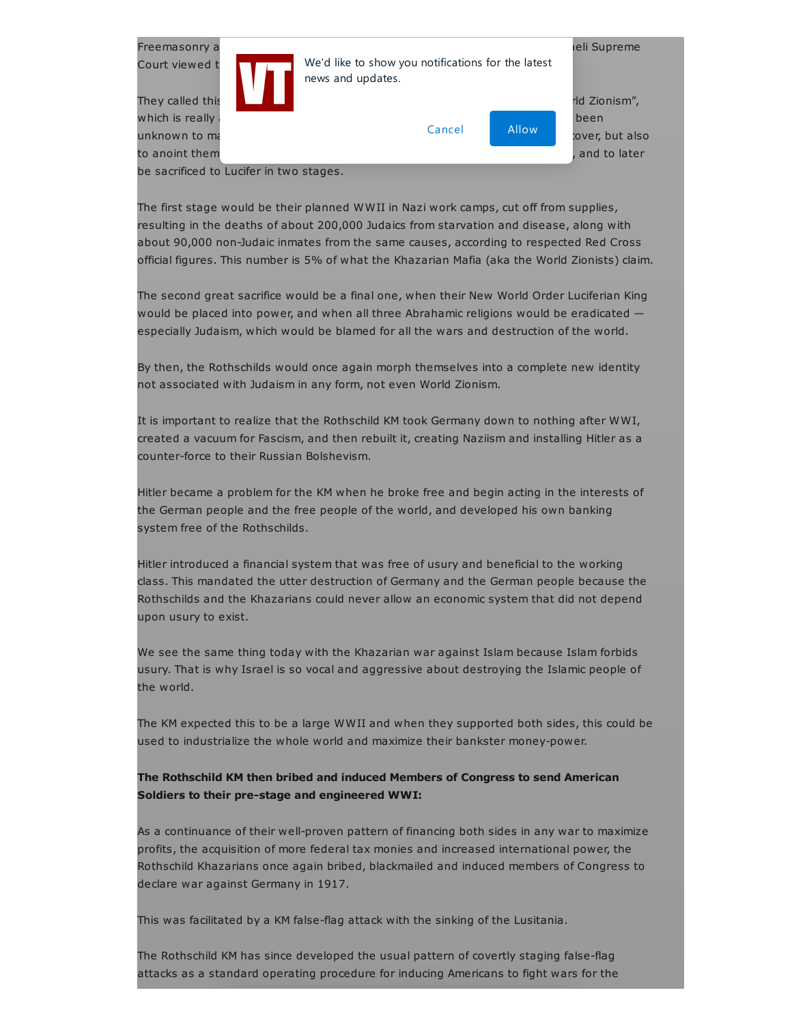| Freemasonry a    |                                                                         |       | ieli Supreme   |
|------------------|-------------------------------------------------------------------------|-------|----------------|
| Court viewed t   | We'd like to show you notifications for the latest<br>news and updates. |       |                |
| They called this |                                                                         |       | rld Zionism",  |
| which is really  |                                                                         |       | been           |
| unknown to ma    | Cancel                                                                  | Allow | over, but also |
| to anoint them   |                                                                         |       | and to later   |
|                  |                                                                         |       |                |

be sacrificed to Lucifer in two stages.

The first stage would be their planned WWII in Nazi work camps, cut off from supplies, resulting in the deaths of about 200,000 Judaics from starvation and disease, along with about 90,000 non-Judaic inmates from the same causes, according to respected Red Cross official figures. This number is 5% of what the Khazarian Mafia (aka the World Zionists) claim.

The second great sacrifice would be a final one, when their New World Order Luciferian King would be placed into power, and when all three Abrahamic religions would be eradicated especially Judaism, which would be blamed for all the wars and destruction of the world.

By then, the Rothschilds would once again morph themselves into a complete new identity not associated with Judaism in any form, not even World Zionism.

It is important to realize that the Rothschild KM took Germany down to nothing after WWI, created a vacuum for Fascism, and then rebuilt it, creating Naziism and installing Hitler as a counter-force to their Russian Bolshevism.

Hitler became a problem for the KM when he broke free and begin acting in the interests of the German people and the free people of the world, and developed his own banking system free of the Rothschilds.

Hitler introduced a financial system that was free of usury and beneficial to the working class. This mandated the utter destruction of Germany and the German people because the Rothschilds and the Khazarians could never allow an economic system that did not depend upon usury to exist.

We see the same thing today with the Khazarian war against Islam because Islam forbids usury. That is why Israel is so vocal and aggressive about destroying the Islamic people of the world.

The KM expected this to be a large WWII and when they supported both sides, this could be used to industrialize the whole world and maximize their bankster money-power.

## **The Rothschild KM then bribed and induced Members of Congress to send American Soldiers to their pre-stage and engineered WWI:**

As a continuance of their well-proven pattern of financing both sides in any war to maximize profits, the acquisition of more federal tax monies and increased international power, the Rothschild Khazarians once again bribed, blackmailed and induced members of Congress to declare war against Germany in 1917.

This was facilitated by a KM false-flag attack with the sinking of the Lusitania.

The Rothschild KM has since developed the usual pattern of covertly staging false-flag attacks as a standard operating procedure for inducing Americans to fight wars for the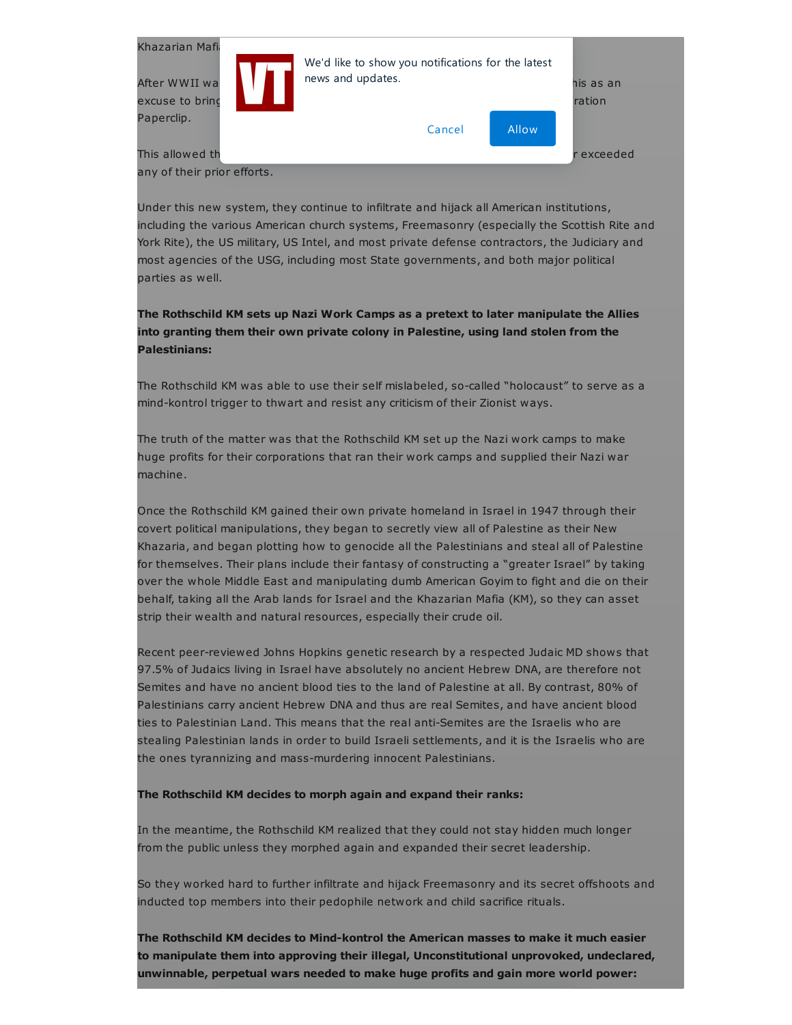| Khazarian Mafi<br>After WWII wa<br>excuse to brinc | We'd like to show you notifications for the latest<br>news and updates. |       | his as an<br>ration |
|----------------------------------------------------|-------------------------------------------------------------------------|-------|---------------------|
| Paperclip.                                         | Cancel                                                                  | Allow |                     |
| This allowed th                                    |                                                                         |       | r exceeded          |
| any of their prior efforts.                        |                                                                         |       |                     |

Under this new system, they continue to infiltrate and hijack all American institutions, including the various American church systems, Freemasonry (especially the Scottish Rite and York Rite), the US military, US Intel, and most private defense contractors, the Judiciary and most agencies of the USG, including most State governments, and both major political parties as well.

## **The Rothschild KM sets up Nazi Work Camps as a pretext to later manipulate the Allies into granting them their own private colony in Palestine, using land stolen from the Palestinians:**

The Rothschild KM was able to use their self mislabeled, so-called "holocaust" to serve as a mind-kontrol trigger to thwart and resist any criticism of their Zionist ways.

The truth of the matter was that the Rothschild KM set up the Nazi work camps to make huge profits for their corporations that ran their work camps and supplied their Nazi war machine.

Once the Rothschild KM gained their own private homeland in Israel in 1947 through their covert political manipulations, they began to secretly view all of Palestine as their New Khazaria, and began plotting how to genocide all the Palestinians and steal all of Palestine for themselves. Their plans include their fantasy of constructing a "greater Israel" by taking over the whole Middle East and manipulating dumb American Goyim to fight and die on their behalf, taking all the Arab lands for Israel and the Khazarian Mafia (KM), so they can asset strip their wealth and natural resources, especially their crude oil.

Recent peer-reviewed Johns Hopkins genetic research by a respected Judaic MD shows that 97.5% of Judaics living in Israel have absolutely no ancient Hebrew DNA, are therefore not Semites and have no ancient blood ties to the land of Palestine at all. By contrast, 80% of Palestinians carry ancient Hebrew DNA and thus are real Semites, and have ancient blood ties to Palestinian Land. This means that the real anti-Semites are the Israelis who are stealing Palestinian lands in order to build Israeli settlements, and it is the Israelis who are the ones tyrannizing and mass-murdering innocent Palestinians.

#### **The Rothschild KM decides to morph again and expand their ranks:**

In the meantime, the Rothschild KM realized that they could not stay hidden much longer from the public unless they morphed again and expanded their secret leadership.

So they worked hard to further infiltrate and hijack Freemasonry and its secret offshoots and inducted top members into their pedophile network and child sacrifice rituals.

**The Rothschild KM decides to Mind-kontrol the American masses to make it much easier to manipulate them into approving their illegal, Unconstitutional unprovoked, undeclared, unwinnable, perpetual wars needed to make huge profits and gain more world power:**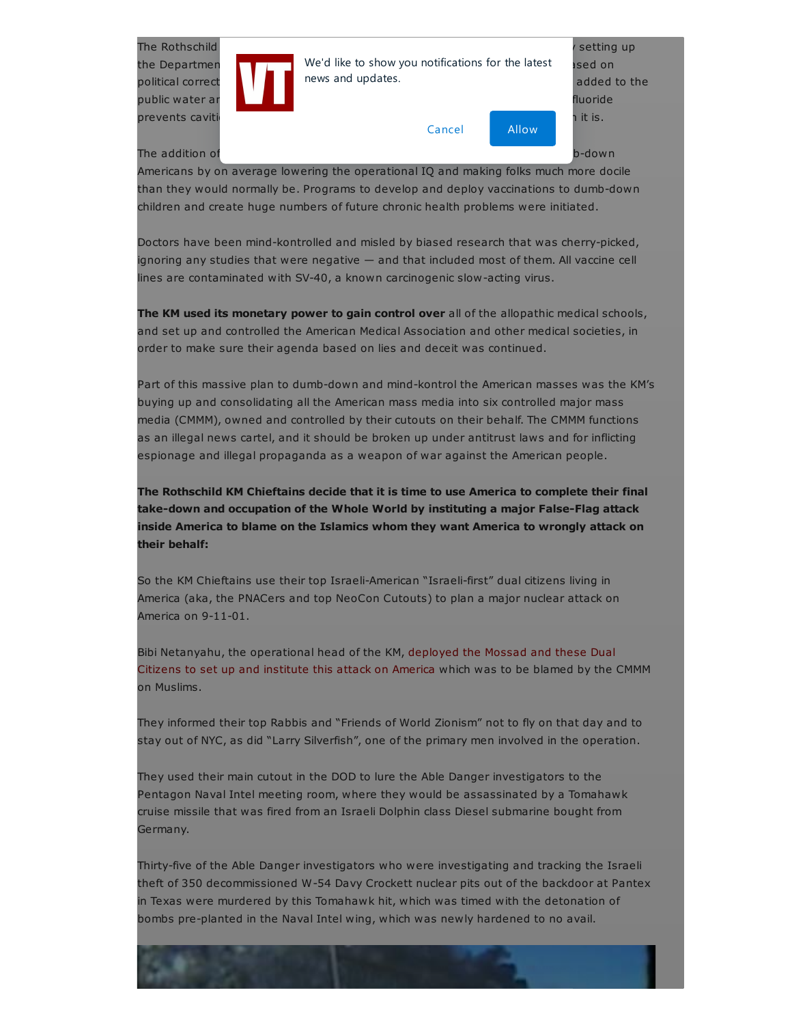| The Rothschild<br>the Departmen<br>political correct<br>public water ar | We'd like to show you notifications for the latest<br>news and updates. |       | setting up<br>ased on<br>added to the<br>fluoride |
|-------------------------------------------------------------------------|-------------------------------------------------------------------------|-------|---------------------------------------------------|
| prevents caviti                                                         | Cancel                                                                  | Allow | n it is.                                          |

The addition of  $\overline{\phantom{a}}$ 

Americans by on average lowering the operational IQ and making folks much more docile than they would normally be. Programs to develop and deploy vaccinations to dumb-down children and create huge numbers of future chronic health problems were initiated.

Doctors have been mind-kontrolled and misled by biased research that was cherry-picked, ignoring any studies that were negative — and that included most of them. All vaccine cell lines are contaminated with SV-40, a known carcinogenic slow-acting virus.

**The KM used its monetary power to gain control over** all of the allopathic medical schools, and set up and controlled the American Medical Association and other medical societies, in order to make sure their agenda based on lies and deceit was continued.

Part of this massive plan to dumb-down and mind-kontrol the American masses was the KM's buying up and consolidating all the American mass media into six controlled major mass media (CMMM), owned and controlled by their cutouts on their behalf. The CMMM functions as an illegal news cartel, and it should be broken up under antitrust laws and for inflicting espionage and illegal propaganda as a weapon of war against the American people.

**The Rothschild KM Chieftains decide that it is time to use America to complete their final take-down and occupation of the Whole World by instituting a major False-Flag attack inside America to blame on the Islamics whom they want America to wrongly attack on their behalf:**

So the KM Chieftains use their top Israeli-American "Israeli-first" dual citizens living in America (aka, the PNACers and top NeoCon Cutouts) to plan a major nuclear attack on America on 9-11-01.

Bibi [Netanyahu,](https://www.veteranstodayarchives.com/2015/01/12/mapping-911-fort-lee/) the operational head of the KM, deployed the Mossad and these Dual Citizens to set up and institute this attack on America which was to be blamed by the CMMM on Muslims.

They informed their top Rabbis and "Friends of World Zionism" not to fly on that day and to stay out of NYC, as did "Larry Silverfish", one of the primary men involved in the operation.

They used their main cutout in the DOD to lure the Able Danger investigators to the Pentagon Naval Intel meeting room, where they would be assassinated by a Tomahawk cruise missile that was fired from an Israeli Dolphin class Diesel submarine bought from Germany.

Thirty-five of the Able Danger investigators who were investigating and tracking the Israeli theft of 350 decommissioned W-54 Davy Crockett nuclear pits out of the backdoor at Pantex in Texas were murdered by this Tomahawk hit, which was timed with the detonation of bombs pre-planted in the Naval Intel wing, which was newly hardened to no avail.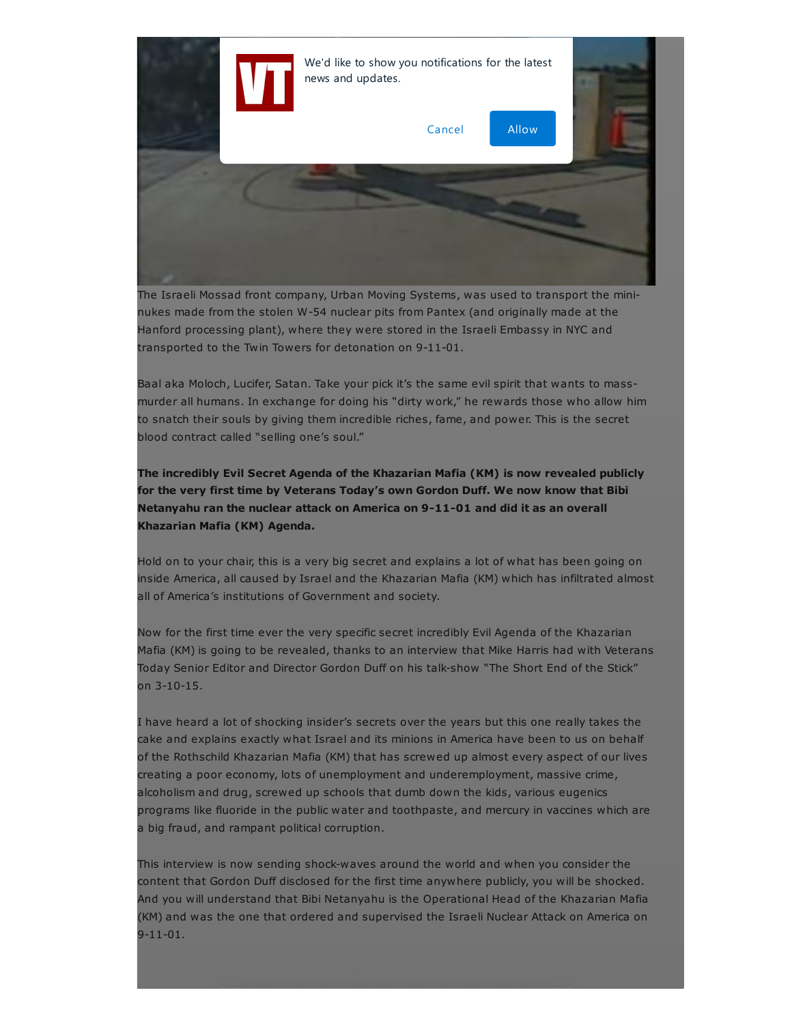

The Israeli Mossad front company, Urban Moving Systems, was used to transport the mininukes made from the stolen W-54 nuclear pits from Pantex (and originally made at the Hanford processing plant), where they were stored in the Israeli Embassy in NYC and transported to the Twin Towers for detonation on 9-11-01.

Baal aka Moloch, Lucifer, Satan. Take your pick it's the same evil spirit that wants to massmurder all humans. In exchange for doing his "dirty work," he rewards those who allow him to snatch their souls by giving them incredible riches, fame, and power. This is the secret blood contract called "selling one's soul."

**The incredibly Evil Secret Agenda of the Khazarian Mafia (KM) is now revealed publicly for the very first time by Veterans Today's own Gordon Duff. We now know that Bibi Netanyahu ran the nuclear attack on America on 9-11-01 and did it as an overall Khazarian Mafia (KM) Agenda.**

Hold on to your chair, this is a very big secret and explains a lot of what has been going on inside America, all caused by Israel and the Khazarian Mafia (KM) which has infiltrated almost all of America's institutions of Government and society.

Now for the first time ever the very specific secret incredibly Evil Agenda of the Khazarian Mafia (KM) is going to be revealed, thanks to an interview that Mike Harris had with Veterans Today Senior Editor and Director Gordon Duff on his talk-show "The Short End of the Stick" on 3-10-15.

I have heard a lot of shocking insider's secrets over the years but this one really takes the cake and explains exactly what Israel and its minions in America have been to us on behalf of the Rothschild Khazarian Mafia (KM) that has screwed up almost every aspect of our lives creating a poor economy, lots of unemployment and underemployment, massive crime, alcoholism and drug, screwed up schools that dumb down the kids, various eugenics programs like fluoride in the public water and toothpaste, and mercury in vaccines which are a big fraud, and rampant political corruption.

This interview is now sending shock-waves around the world and when you consider the content that Gordon Duff disclosed for the first time anywhere publicly, you will be shocked. And you will understand that Bibi Netanyahu is the Operational Head of the Khazarian Mafia (KM) and was the one that ordered and supervised the Israeli Nuclear Attack on America on 9-11-01.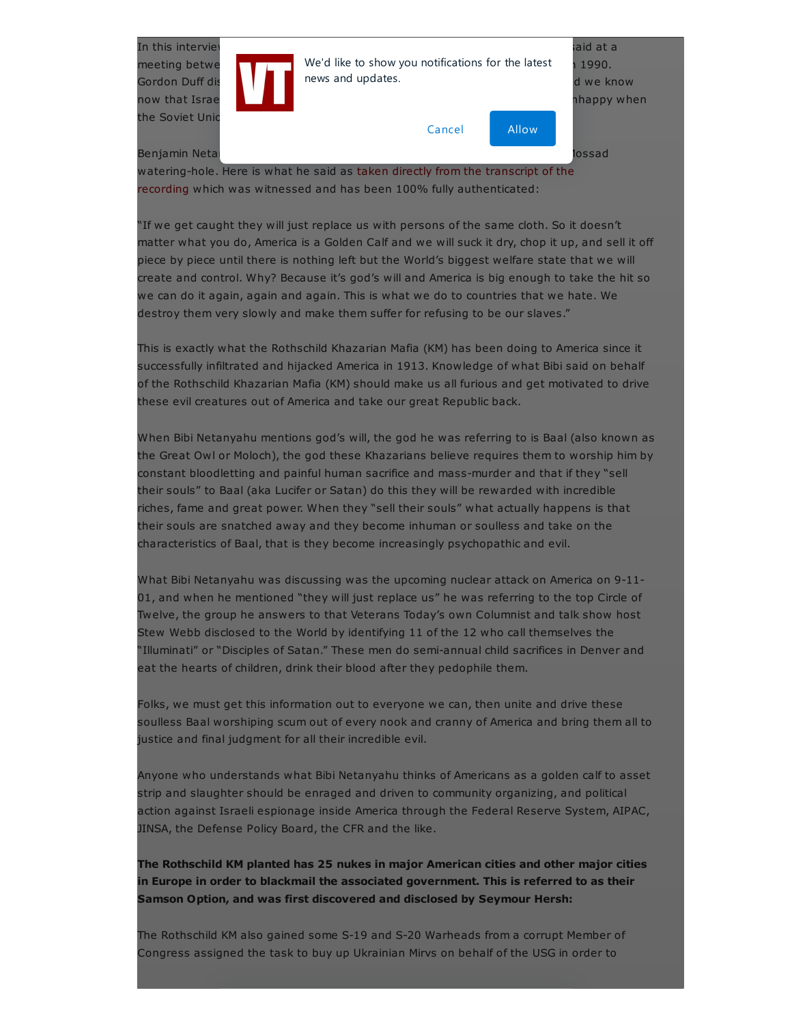

[watering-hole.](https://www.veteranstodayarchives.com/2015/03/18/neo-the-world-if-gore-had-won/) Here is what he said as taken directly from the transcript of the recording which was witnessed and has been 100% fully authenticated:

"If we get caught they will just replace us with persons of the same cloth. So it doesn't matter what you do, America is a Golden Calf and we will suck it dry, chop it up, and sell it off piece by piece until there is nothing left but the World's biggest welfare state that we will create and control. Why? Because it's god's will and America is big enough to take the hit so we can do it again, again and again. This is what we do to countries that we hate. We destroy them very slowly and make them suffer for refusing to be our slaves."

This is exactly what the Rothschild Khazarian Mafia (KM) has been doing to America since it successfully infiltrated and hijacked America in 1913. Knowledge of what Bibi said on behalf of the Rothschild Khazarian Mafia (KM) should make us all furious and get motivated to drive these evil creatures out of America and take our great Republic back.

When Bibi Netanyahu mentions god's will, the god he was referring to is Baal (also known as the Great Owl or Moloch), the god these Khazarians believe requires them to worship him by constant bloodletting and painful human sacrifice and mass-murder and that if they "sell their souls" to Baal (aka Lucifer or Satan) do this they will be rewarded with incredible riches, fame and great power. When they "sell their souls" what actually happens is that their souls are snatched away and they become inhuman or soulless and take on the characteristics of Baal, that is they become increasingly psychopathic and evil.

What Bibi Netanyahu was discussing was the upcoming nuclear attack on America on 9-11- 01, and when he mentioned "they will just replace us" he was referring to the top Circle of Twelve, the group he answers to that Veterans Today's own Columnist and talk show host Stew Webb disclosed to the World by identifying 11 of the 12 who call themselves the "Illuminati" or "Disciples of Satan." These men do semi-annual child sacrifices in Denver and eat the hearts of children, drink their blood after they pedophile them.

Folks, we must get this information out to everyone we can, then unite and drive these soulless Baal worshiping scum out of every nook and cranny of America and bring them all to justice and final judgment for all their incredible evil.

Anyone who understands what Bibi Netanyahu thinks of Americans as a golden calf to asset strip and slaughter should be enraged and driven to community organizing, and political action against Israeli espionage inside America through the Federal Reserve System, AIPAC, JINSA, the Defense Policy Board, the CFR and the like.

**The Rothschild KM planted has 25 nukes in major American cities and other major cities in Europe in order to blackmail the associated government. This is referred to as their Samson Option, and was first discovered and disclosed by Seymour Hersh:**

The Rothschild KM also gained some S-19 and S-20 Warheads from a corrupt Member of Congress assigned the task to buy up Ukrainian Mirvs on behalf of the USG in order to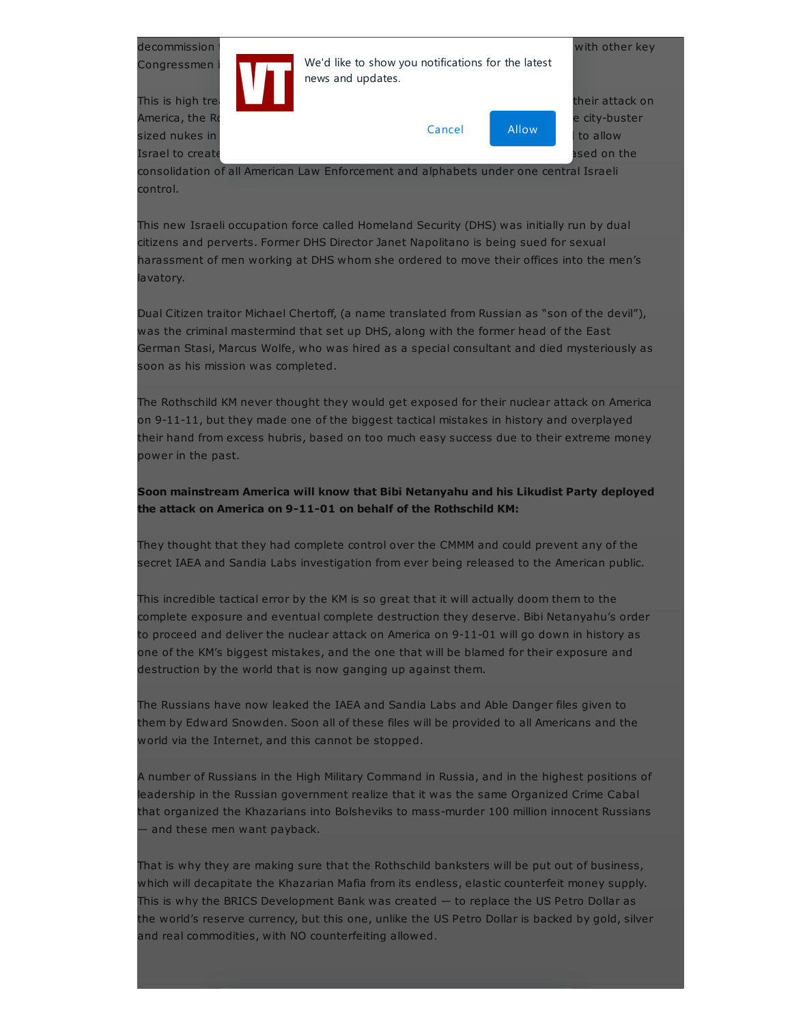| decommission<br>with other key<br>We'd like to show you notifications for the latest<br>Congressmen<br>news and updates. |  |
|--------------------------------------------------------------------------------------------------------------------------|--|
| This is high trea<br>their attack on                                                                                     |  |
| America, the Ro<br>e city-buster                                                                                         |  |
| Allow<br>Cancel<br>sized nukes in<br>to allow                                                                            |  |
| Israel to create<br>ased on the                                                                                          |  |

onsolidation of all American Law Enforcement and alphabet control.

This new Israeli occupation force called Homeland Security (DHS) was initially run by dual citizens and perverts. Former DHS Director Janet Napolitano is being sued for sexual harassment of men working at DHS whom she ordered to move their offices into the men's lavatory.

Dual Citizen traitor Michael Chertoff, (a name translated from Russian as "son of the devil"), was the criminal mastermind that set up DHS, along with the former head of the East German Stasi, Marcus Wolfe, who was hired as a special consultant and died mysteriously as soon as his mission was completed.

The Rothschild KM never thought they would get exposed for their nuclear attack on America on 9-11-11, but they made one of the biggest tactical mistakes in history and overplayed their hand from excess hubris, based on too much easy success due to their extreme money power in the past.

**Soon mainstream America will know that Bibi Netanyahu and his Likudist Party deployed the attack on America on 9-11-01 on behalf of the Rothschild KM:**

They thought that they had complete control over the CMMM and could prevent any of the secret IAEA and Sandia Labs investigation from ever being released to the American public.

This incredible tactical error by the KM is so great that it will actually doom them to the complete exposure and eventual complete destruction they deserve. Bibi Netanyahu's order to proceed and deliver the nuclear attack on America on 9-11-01 will go down in history as one of the KM's biggest mistakes, and the one that will be blamed for their exposure and destruction by the world that is now ganging up against them.

The Russians have now leaked the IAEA and Sandia Labs and Able Danger files given to them by Edward Snowden. Soon all of these files will be provided to all Americans and the world via the Internet, and this cannot be stopped.

A number of Russians in the High Military Command in Russia, and in the highest positions of leadership in the Russian government realize that it was the same Organized Crime Cabal that organized the Khazarians into Bolsheviks to mass-murder 100 million innocent Russians — and these men want payback.

That is why they are making sure that the Rothschild banksters will be put out of business, which will decapitate the Khazarian Mafia from its endless, elastic counterfeit money supply. This is why the BRICS Development Bank was created — to replace the US Petro Dollar as the world's reserve currency, but this one, unlike the US Petro Dollar is backed by gold, silver and real commodities, with NO counterfeiting allowed.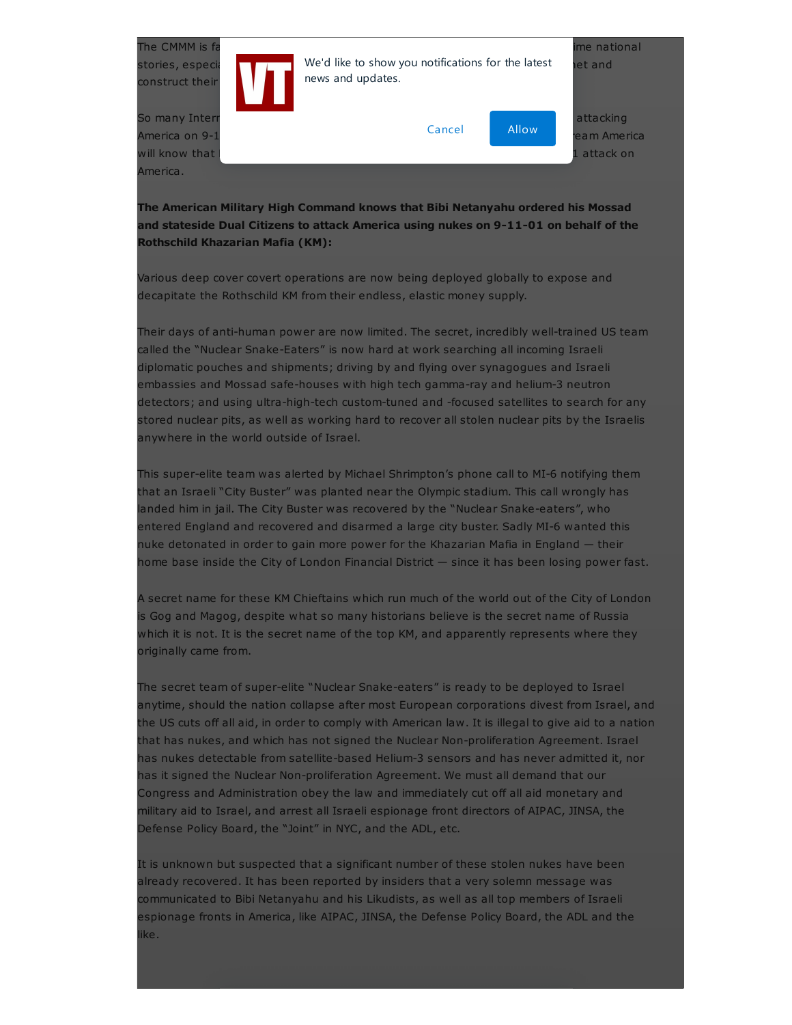| The CMMM is fa<br>stories, especia<br>construct their | We'd like to show you notifications for the latest<br>news and updates. |        |       | ime national<br>et and                  |
|-------------------------------------------------------|-------------------------------------------------------------------------|--------|-------|-----------------------------------------|
| So many Interr<br>America on 9-1<br>will know that I  |                                                                         | Cancel | Allow | attacking<br>ream America<br>Lattack on |
| America.                                              |                                                                         |        |       |                                         |

**The American Military High Command knows that Bibi Netanyahu ordered his Mossad and stateside Dual Citizens to attack America using nukes on 9-11-01 on behalf of the Rothschild Khazarian Mafia (KM):**

Various deep cover covert operations are now being deployed globally to expose and decapitate the Rothschild KM from their endless, elastic money supply.

Their days of anti-human power are now limited. The secret, incredibly well-trained US team called the "Nuclear Snake-Eaters" is now hard at work searching all incoming Israeli diplomatic pouches and shipments; driving by and flying over synagogues and Israeli embassies and Mossad safe-houses with high tech gamma-ray and helium-3 neutron detectors; and using ultra-high-tech custom-tuned and -focused satellites to search for any stored nuclear pits, as well as working hard to recover all stolen nuclear pits by the Israelis anywhere in the world outside of Israel.

This super-elite team was alerted by Michael Shrimpton's phone call to MI-6 notifying them that an Israeli "City Buster" was planted near the Olympic stadium. This call wrongly has landed him in jail. The City Buster was recovered by the "Nuclear Snake-eaters", who entered England and recovered and disarmed a large city buster. Sadly MI-6 wanted this nuke detonated in order to gain more power for the Khazarian Mafia in England — their home base inside the City of London Financial District — since it has been losing power fast.

A secret name for these KM Chieftains which run much of the world out of the City of London s Gog and Magog, despite what so many historians believe is the secret name of Russia which it is not. It is the secret name of the top KM, and apparently represents where they originally came from.

The secret team of super-elite "Nuclear Snake-eaters" is ready to be deployed to Israel anytime, should the nation collapse after most European corporations divest from Israel, and the US cuts off all aid, in order to comply with American law. It is illegal to give aid to a nation that has nukes, and which has not signed the Nuclear Non-proliferation Agreement. Israel has nukes detectable from satellite-based Helium-3 sensors and has never admitted it, nor has it signed the Nuclear Non-proliferation Agreement. We must all demand that our Congress and Administration obey the law and immediately cut off all aid monetary and military aid to Israel, and arrest all Israeli espionage front directors of AIPAC, JINSA, the Defense Policy Board, the "Joint" in NYC, and the ADL, etc.

It is unknown but suspected that a significant number of these stolen nukes have been already recovered. It has been reported by insiders that a very solemn message was communicated to Bibi Netanyahu and his Likudists, as well as all top members of Israeli espionage fronts in America, like AIPAC, JINSA, the Defense Policy Board, the ADL and the like.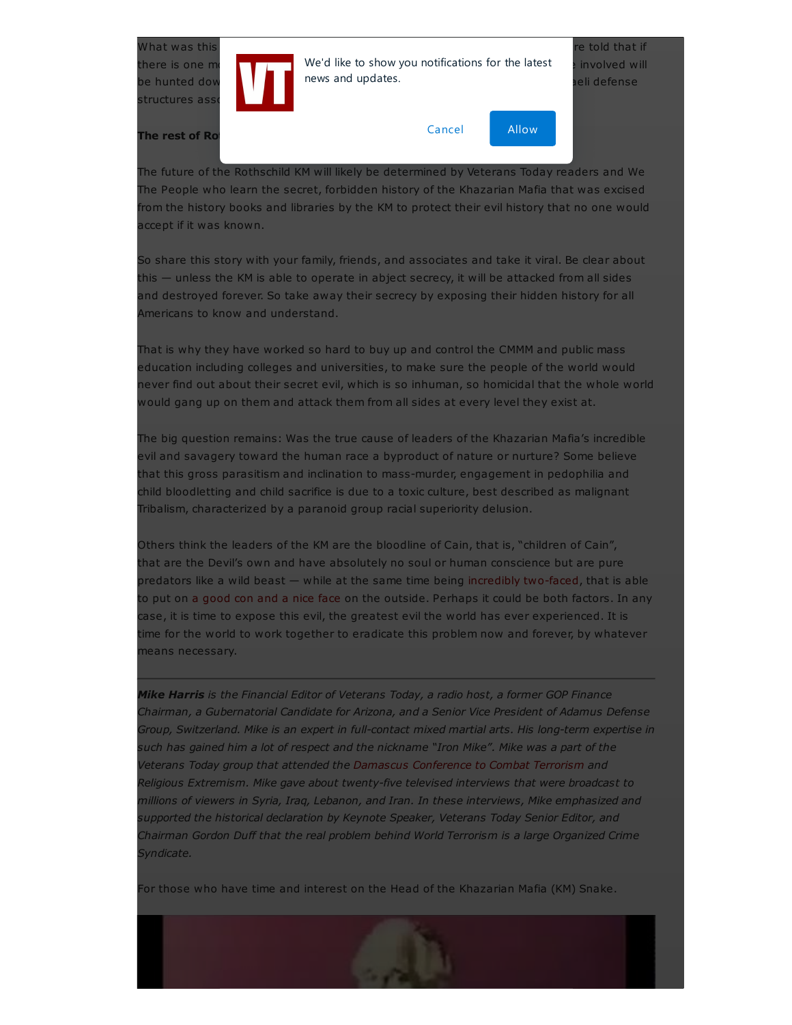

The future of the Rothschild KM will likely be determined by Veterans Today readers and We The People who learn the secret, forbidden history of the Khazarian Mafia that was excised from the history books and libraries by the KM to protect their evil history that no one would accept if it was known.

So share this story with your family, friends, and associates and take it viral. Be clear about this — unless the KM is able to operate in abject secrecy, it will be attacked from all sides and destroyed forever. So take away their secrecy by exposing their hidden history for all Americans to know and understand.

That is why they have worked so hard to buy up and control the CMMM and public mass education including colleges and universities, to make sure the people of the world would never find out about their secret evil, which is so inhuman, so homicidal that the whole world would gang up on them and attack them from all sides at every level they exist at.

The big question remains: Was the true cause of leaders of the Khazarian Mafia's incredible evil and savagery toward the human race a byproduct of nature or nurture? Some believe that this gross parasitism and inclination to mass-murder, engagement in pedophilia and child bloodletting and child sacrifice is due to a toxic culture, best described as malignant Tribalism, characterized by a paranoid group racial superiority delusion.

Others think the leaders of the KM are the bloodline of Cain, that is, "children of Cain", that are the Devil's own and have absolutely no soul or human conscience but are pure predators like a wild beast — while at the same time being incredibly [two-faced,](https://www.veteranstodayarchives.com/2014/11/22/evil-with-a-nice-face-the-janus-principal/) that is able to put on a [good](https://www.veteranstodayarchives.com/2015/02/27/evil-with-a-nice-face-part-ii/) con and a nice face on the outside. Perhaps it could be both factors. In any case, it is time to expose this evil, the greatest evil the world has ever experienced. It is time for the world to work together to eradicate this problem now and forever, by whatever means necessary.

*Mike Harris is the Financial Editor of Veterans Today, a radio host, a former GOP Finance Chairman, a Gubernatorial Candidate for Arizona, and a Senior Vice President of Adamus Defense Group, Switzerland. Mike is an expert in full-contact mixed martial arts. His long-term expertise in such has gained him a lot of respect and the nickname "Iron Mike". Mike was a part of the Veterans Today group that attended the Damascus [Conference](https://www.veteranstodayarchives.com/2014/12/13/historic-speech-in-damascus-sends-shockwaves-around-the-world/) to Combat Terrorism and Religious Extremism. Mike gave about twenty-five televised interviews that were broadcast to millions of viewers in Syria, Iraq, Lebanon, and Iran. In these interviews, Mike emphasized and supported the historical declaration by Keynote Speaker, Veterans Today Senior Editor, and Chairman Gordon Duff that the real problem behind World Terrorism is a large Organized Crime Syndicate.*

For those who have time and interest on the Head of the Khazarian Mafia (KM) Snake.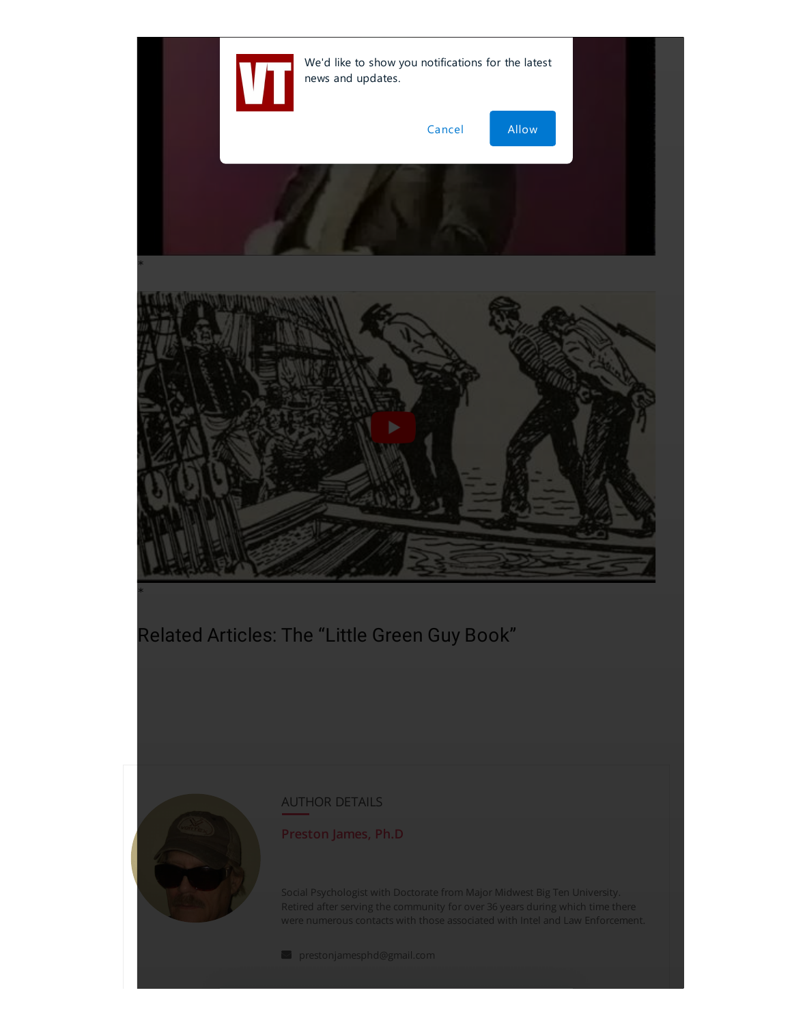

[prestonjamesphd@gmail.com](mailto:prestonjamesphd@gmail.com)